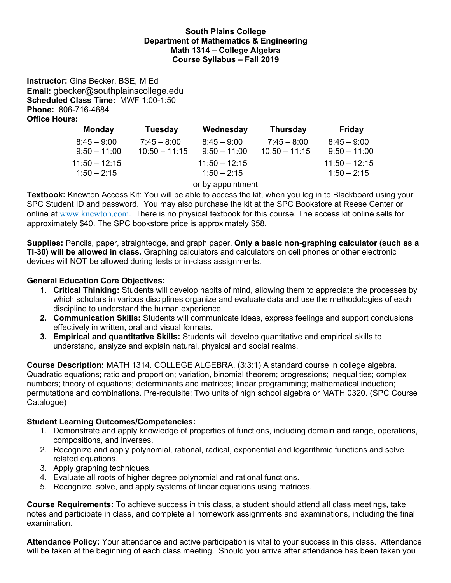### **South Plains College Department of Mathematics & Engineering Math 1314 – College Algebra Course Syllabus – Fall 2019**

**Instructor:** Gina Becker, BSE, M Ed **Email:** gbecker@southplainscollege.edu **Scheduled Class Time:** MWF 1:00-1:50 **Phone:** 806-716-4684 **Office Hours:** 

| <b>Monday</b>   | <b>Tuesday</b>  | Wednesday         | <b>Thursday</b> | Friday          |
|-----------------|-----------------|-------------------|-----------------|-----------------|
| $8:45 - 9:00$   | $7:45 - 8:00$   | $8:45 - 9:00$     | $7:45 - 8:00$   | $8:45 - 9:00$   |
| $9:50 - 11:00$  | $10:50 - 11:15$ | $9:50 - 11:00$    | $10:50 - 11:15$ | $9:50 - 11:00$  |
| $11:50 - 12:15$ |                 | $11:50 - 12:15$   |                 | $11:50 - 12:15$ |
| $1:50 - 2:15$   |                 | $1:50 - 2:15$     |                 | $1:50 - 2:15$   |
|                 |                 | or by appointment |                 |                 |

**Textbook:** Knewton Access Kit: You will be able to access the kit, when you log in to Blackboard using your SPC Student ID and password. You may also purchase the kit at the SPC Bookstore at Reese Center or online at www.knewton.com. There is no physical textbook for this course. The access kit online sells for approximately \$40. The SPC bookstore price is approximately \$58.

**Supplies:** Pencils, paper, straightedge, and graph paper. **Only a basic non-graphing calculator (such as a TI-30) will be allowed in class.** Graphing calculators and calculators on cell phones or other electronic devices will NOT be allowed during tests or in-class assignments.

# **General Education Core Objectives:**

- 1. **Critical Thinking:** Students will develop habits of mind, allowing them to appreciate the processes by which scholars in various disciplines organize and evaluate data and use the methodologies of each discipline to understand the human experience.
- **2. Communication Skills:** Students will communicate ideas, express feelings and support conclusions effectively in written, oral and visual formats.
- **3. Empirical and quantitative Skills:** Students will develop quantitative and empirical skills to understand, analyze and explain natural, physical and social realms.

**Course Description:** MATH 1314. COLLEGE ALGEBRA. (3:3:1) A standard course in college algebra. Quadratic equations; ratio and proportion; variation, binomial theorem; progressions; inequalities; complex numbers; theory of equations; determinants and matrices; linear programming; mathematical induction; permutations and combinations. Pre-requisite: Two units of high school algebra or MATH 0320. (SPC Course Catalogue)

## **Student Learning Outcomes/Competencies:**

- 1. Demonstrate and apply knowledge of properties of functions, including domain and range, operations, compositions, and inverses.
- 2. Recognize and apply polynomial, rational, radical, exponential and logarithmic functions and solve related equations.
- 3. Apply graphing techniques.
- 4. Evaluate all roots of higher degree polynomial and rational functions.
- 5. Recognize, solve, and apply systems of linear equations using matrices.

**Course Requirements:** To achieve success in this class, a student should attend all class meetings, take notes and participate in class, and complete all homework assignments and examinations, including the final examination.

**Attendance Policy:** Your attendance and active participation is vital to your success in this class. Attendance will be taken at the beginning of each class meeting. Should you arrive after attendance has been taken you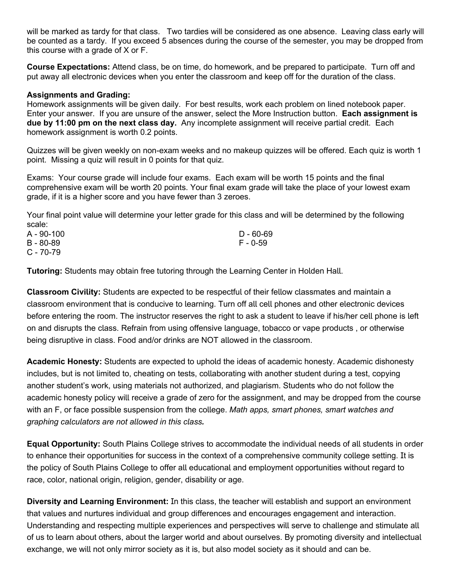will be marked as tardy for that class. Two tardies will be considered as one absence. Leaving class early will be counted as a tardy. If you exceed 5 absences during the course of the semester, you may be dropped from this course with a grade of X or F.

**Course Expectations:** Attend class, be on time, do homework, and be prepared to participate. Turn off and put away all electronic devices when you enter the classroom and keep off for the duration of the class.

### **Assignments and Grading:**

Homework assignments will be given daily. For best results, work each problem on lined notebook paper. Enter your answer. If you are unsure of the answer, select the More Instruction button. **Each assignment is due by 11:00 pm on the next class day.** Any incomplete assignment will receive partial credit. Each homework assignment is worth 0.2 points.

Quizzes will be given weekly on non-exam weeks and no makeup quizzes will be offered. Each quiz is worth 1 point. Missing a quiz will result in 0 points for that quiz.

Exams: Your course grade will include four exams. Each exam will be worth 15 points and the final comprehensive exam will be worth 20 points. Your final exam grade will take the place of your lowest exam grade, if it is a higher score and you have fewer than 3 zeroes.

Your final point value will determine your letter grade for this class and will be determined by the following scale:

| A - 90-100 | D - 60-69 |
|------------|-----------|
| B - 80-89  | F - 0-59  |
| C - 70-79  |           |

**Tutoring:** Students may obtain free tutoring through the Learning Center in Holden Hall.

**Classroom Civility:** Students are expected to be respectful of their fellow classmates and maintain a classroom environment that is conducive to learning. Turn off all cell phones and other electronic devices before entering the room. The instructor reserves the right to ask a student to leave if his/her cell phone is left on and disrupts the class. Refrain from using offensive language, tobacco or vape products, or otherwise being disruptive in class. Food and/or drinks are NOT allowed in the classroom.

**Academic Honesty:** Students are expected to uphold the ideas of academic honesty. Academic dishonesty includes, but is not limited to, cheating on tests, collaborating with another student during a test, copying another student's work, using materials not authorized, and plagiarism. Students who do not follow the academic honesty policy will receive a grade of zero for the assignment, and may be dropped from the course with an F, or face possible suspension from the college. *Math apps, smart phones, smart watches and* graphing calculators are not allowed in this class.

**Equal Opportunity:** South Plains College strives to accommodate the individual needs of all students in order to enhance their opportunities for success in the context of a comprehensive community college setting. It is the policy of South Plains College to offer all educational and employment opportunities without regard to race, color, national origin, religion, gender, disability or age.

**Diversity and Learning Environment:** In this class, the teacher will establish and support an environment that values and nurtures individual and group differences and encourages engagement and interaction. Understanding and respecting multiple experiences and perspectives will serve to challenge and stimulate all of us to learn about others, about the larger world and about ourselves. By promoting diversity and intellectual exchange, we will not only mirror society as it is, but also model society as it should and can be.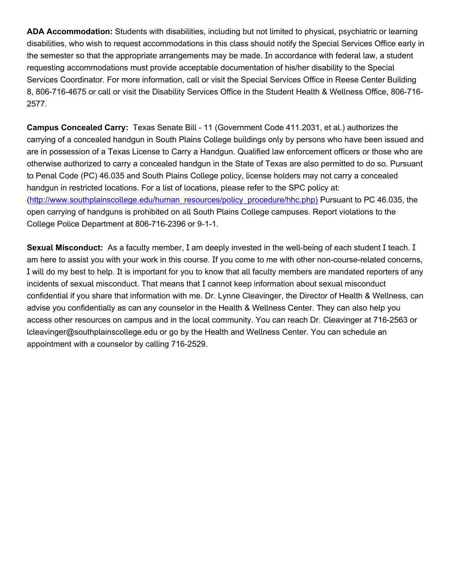ADA Accommodation: Students with disabilities, including but not limited to physical, psychiatric or learning disabilities, who wish to request accommodations in this class should notify the Special Services Office early in the semester so that the appropriate arrangements may be made. In accordance with federal law, a student requesting accommodations must provide acceptable documentation of his/her disability to the Special Services Coordinator. For more information, call or visit the Special Services Office in Reese Center Building 8, 806-716-4675 or call or visit the Disability Services Office in the Student Health & Wellness Office, 806-716-2577.

**Campus Concealed Carry:** Texas Senate Bill - 11 (Government Code 411.2031, et al.) authorizes the carrying of a concealed handgun in South Plains College buildings only by persons who have been issued and are in possession of a Texas License to Carry a Handgun. Qualified law enforcement officers or those who are otherwise authorized to carry a concealed handgun in the State of Texas are also permitted to do so. Pursuant to Penal Code (PC) 46.035 and South Plains College policy, license holders may not carry a concealed handgun in restricted locations. For a list of locations, please refer to the SPC policy at: (http://www.southplainscollege.edu/human\_resources/policy\_procedure/hhc.php) Pursuant to PC 46.035, the open carrying of handguns is prohibited on all South Plains College campuses. Report violations to the College Police Department at 806-716-2396 or 9-1-1.

**Sexual Misconduct:** As a faculty member, I am deeply invested in the well-being of each student I teach. I am here to assist you with your work in this course. If you come to me with other non-course-related concerns, I will do my best to help. It is important for you to know that all faculty members are mandated reporters of any incidents of sexual misconduct. That means that I cannot keep information about sexual misconduct confidential if you share that information with me. Dr. Lynne Cleavinger, the Director of Health & Wellness, can advise you confidentially as can any counselor in the Health & Wellness Center. They can also help you access other resources on campus and in the local community. You can reach Dr. Cleavinger at 716-2563 or lcleavinger@southplainscollege.edu or go by the Health and Wellness Center. You can schedule an appointment with a counselor by calling 716-2529.